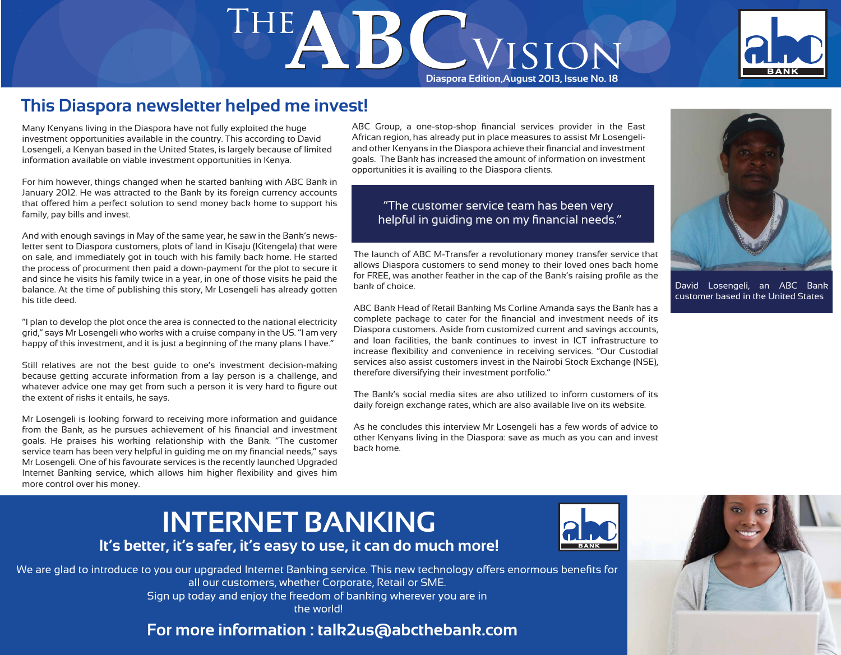# THE **DE CONSTANT OF STRANGE AND RESIDENT**



## **This Diaspora newsletter helped me invest!**

Many Kenyans living in the Diaspora have not fully exploited the huge investment opportunities available in the country. This according to David Losengeli, a Kenyan based in the United States, is largely because of limited information available on viable investment opportunities in Kenya.

For him however, things changed when he started banking with ABC Bank in January 2012. He was attracted to the Bank by its foreign currency accounts that offered him a perfect solution to send money back home to support his family, pay bills and invest.

And with enough savings in May of the same year, he saw in the Bank's newsletter sent to Diaspora customers, plots of land in Kisaju (Kitengela) that were on sale, and immediately got in touch with his family back home. He started the process of procurment then paid a down-payment for the plot to secure it and since he visits his family twice in a year, in one of those visits he paid the balance. At the time of publishing this story, Mr Losengeli has already gotten his title deed.

"I plan to develop the plot once the area is connected to the national electricity grid," says Mr Losengeli who works with a cruise company in the US. "I am very happy of this investment, and it is just a beginning of the many plans I have."

Still relatives are not the best guide to one's investment decision-making because getting accurate information from a lay person is a challenge, and whatever advice one may get from such a person it is very hard to figure out the extent of risks it entails, he says.

Mr Losengeli is looking forward to receiving more information and guidance from the Bank, as he pursues achievement of his financial and investment goals. He praises his working relationship with the Bank. "The customer service team has been very helpful in guiding me on my financial needs," says Mr Losengeli. One of his favourate services is the recently launched Upgraded Internet Banking service, which allows him higher flexibility and gives him more control over his money.

ABC Group, a one-stop-shop financial services provider in the East African region, has already put in place measures to assist Mr Losengeliand other Kenyans in the Diaspora achieve their financial and investment goals. The Bank has increased the amount of information on investment opportunities it is availing to the Diaspora clients.

#### "The customer service team has been very helpful in guiding me on my financial needs."

The launch of ABC M-Transfer a revolutionary money transfer service that allows Diaspora customers to send money to their loved ones back home for FREE, was another feather in the cap of the Bank's raising profile as the bank of choice.

ABC Bank Head of Retail Banking Ms Corline Amanda says the Bank has a complete package to cater for the financial and investment needs of its Diaspora customers. Aside from customized current and savings accounts, and loan facilities, the bank continues to invest in ICT infrastructure to increase flexibility and convenience in receiving services. "Our Custodial services also assist customers invest in the Nairobi Stock Exchange (NSE), therefore diversifying their investment portfolio."

The Bank's social media sites are also utilized to inform customers of its daily foreign exchange rates, which are also available live on its website.

As he concludes this interview Mr Losengeli has a few words of advice to other Kenyans living in the Diaspora: save as much as you can and invest back home.



David Losengeli, an ABC Bank customer based in the United States

## **INTERNET BANKING It's better, it's safer, it's easy to use, it can do much more!**



We are glad to introduce to you our upgraded Internet Banking service. This new technology offers enormous benefits for all our customers, whether Corporate, Retail or SME. Sign up today and enjoy the freedom of banking wherever you are in the world!

**For more information : talk2us@abcthebank.com**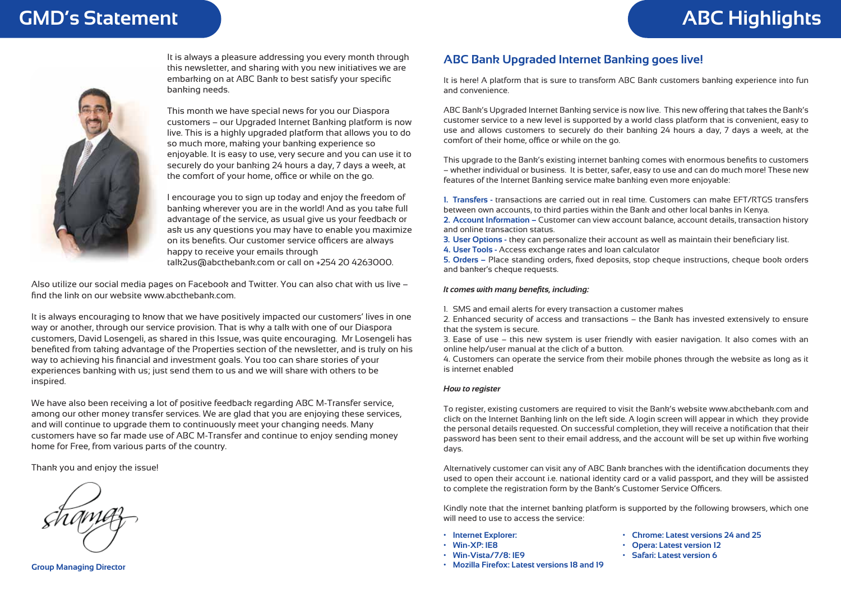## **GMD's Statement ABC Highlights**



It is always a pleasure addressing you every month through this newsletter, and sharing with you new initiatives we are embarking on at ABC Bank to best satisfy your specific banking needs.

This month we have special news for you our Diaspora customers – our Upgraded Internet Banking platform is now live. This is a highly upgraded platform that allows you to do so much more, making your banking experience so enjoyable. It is easy to use, very secure and you can use it to securely do your banking 24 hours a day, 7 days a week, at the comfort of your home, office or while on the go.

I encourage you to sign up today and enjoy the freedom of banking wherever you are in the world! And as you take full advantage of the service, as usual give us your feedback or ask us any questions you may have to enable you maximize on its benefits. Our customer service officers are always happy to receive your emails through talk2us@abcthebank.com or call on +254 20 4263000.

Also utilize our social media pages on Facebook and Twitter. You can also chat with us live – find the link on our website www.abcthebank.com.

It is always encouraging to know that we have positively impacted our customers' lives in one way or another, through our service provision. That is why a talk with one of our Diaspora customers, David Losengeli, as shared in this Issue, was quite encouraging. Mr Losengeli has benefited from taking advantage of the Properties section of the newsletter, and is truly on his way to achieving his financial and investment goals. You too can share stories of your experiences banking with us; just send them to us and we will share with others to be inspired.

We have also been receiving a lot of positive feedback regarding ABC M-Transfer service, among our other money transfer services. We are glad that you are enjoying these services, and will continue to upgrade them to continuously meet your changing needs. Many customers have so far made use of ABC M-Transfer and continue to enjoy sending money home for Free, from various parts of the country.

Thank you and enjoy the issue!

**Group Managing Director**

#### **ABC Bank Upgraded Internet Banking goes live!**

It is here! A platform that is sure to transform ABC Bank customers banking experience into fun and convenience.

ABC Bank's Upgraded Internet Banking service is now live. This new offering that takes the Bank's customer service to a new level is supported by a world class platform that is convenient, easy to use and allows customers to securely do their banking 24 hours a day, 7 days a week, at the comfort of their home, office or while on the go.

This upgrade to the Bank's existing internet banking comes with enormous benefits to customers – whether individual or business. It is better, safer, easy to use and can do much more! These new features of the Internet Banking service make banking even more enjoyable:

**1. Transfers -** transactions are carried out in real time. Customers can make EFT/RTGS transfers between own accounts, to third parties within the Bank and other local banks in Kenya. **2. Account Information –** Customer can view account balance, account details, transaction history

**3. User Options -** they can personalize their account as well as maintain their beneficiary list.

**4. User Tools -** Access exchange rates and loan calculator

**5. Orders –** Place standing orders, fixed deposits, stop cheque instructions, cheque book orders and banker's cheque requests.

#### *It comes with many benefits, including:*

and online transaction status.

1. SMS and email alerts for every transaction a customer makes

2. Enhanced security of access and transactions – the Bank has invested extensively to ensure that the system is secure.

3. Ease of use – this new system is user friendly with easier navigation. It also comes with an online help/user manual at the click of a button.

4. Customers can operate the service from their mobile phones through the website as long as it is internet enabled

#### *How to register*

To register, existing customers are required to visit the Bank's website www.abcthebank.com and click on the Internet Banking link on the left side. A login screen will appear in which they provide the personal details requested. On successful completion, they will receive a notification that their password has been sent to their email address, and the account will be set up within five working days.

Alternatively customer can visit any of ABC Bank branches with the identification documents they used to open their account i.e. national identity card or a valid passport, and they will be assisted to complete the registration form by the Bank's Customer Service Officers.

Kindly note that the internet banking platform is supported by the following browsers, which one will need to use to access the service:

- **Internet Explorer:**
- **Win-XP: IE8**
- **Win-Vista/7/8: IE9**
- **Mozilla Firefox: Latest versions 18 and 19**
- **Chrome: Latest versions 24 and 25**
	- **Opera: Latest version 12**
- **Safari: Latest version 6**
-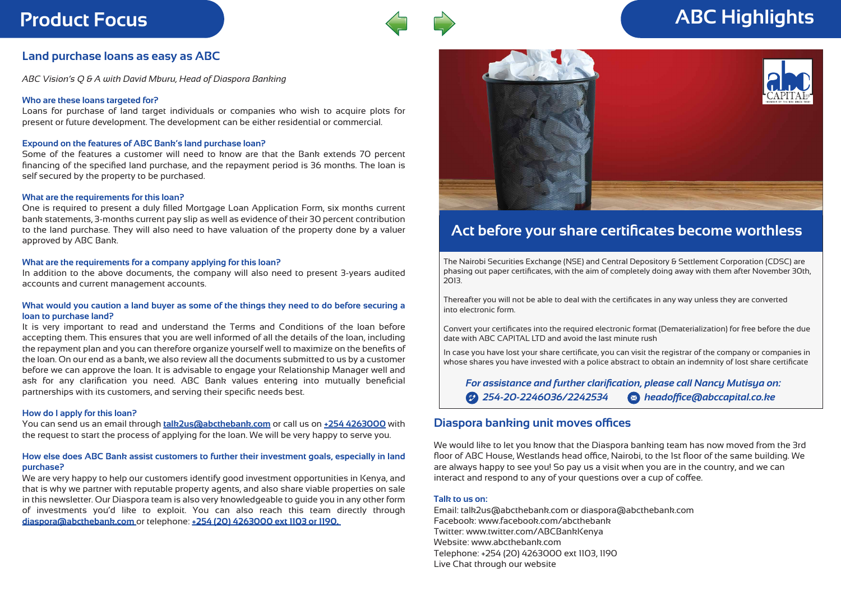

## **Product Focus ABC Highlights**

#### **Land purchase loans as easy as ABC**

*ABC Vision's Q & A with David Mburu, Head of Diaspora Banking*

#### **Who are these loans targeted for?**

Loans for purchase of land target individuals or companies who wish to acquire plots for present or future development. The development can be either residential or commercial.

#### **Expound on the features of ABC Bank's land purchase loan?**

Some of the features a customer will need to know are that the Bank extends 70 percent financing of the specified land purchase, and the repayment period is 36 months. The loan is self secured by the property to be purchased.

#### **What are the requirements for this loan?**

One is required to present a duly filled Mortgage Loan Application Form, six months current bank statements, 3-months current pay slip as well as evidence of their 30 percent contribution to the land purchase. They will also need to have valuation of the property done by a valuer approved by ABC Bank.

#### **What are the requirements for a company applying for this loan?**

In addition to the above documents, the company will also need to present 3-years audited accounts and current management accounts.

#### **What would you caution a land buyer as some of the things they need to do before securing a loan to purchase land?**

It is very important to read and understand the Terms and Conditions of the loan before accepting them. This ensures that you are well informed of all the details of the loan, including the repayment plan and you can therefore organize yourself well to maximize on the benefits of the loan. On our end as a bank, we also review all the documents submitted to us by a customer before we can approve the loan. It is advisable to engage your Relationship Manager well and ask for any clarification you need. ABC Bank values entering into mutually beneficial partnerships with its customers, and serving their specific needs best.

#### **How do I apply for this loan?**

You can send us an email through **talk2us@abcthebank.com** or call us on **+254 4263000** with the request to start the process of applying for the loan. We will be very happy to serve you.

#### **How else does ABC Bank assist customers to further their investment goals, especially in land purchase?**

We are very happy to help our customers identify good investment opportunities in Kenya, and that is why we partner with reputable property agents, and also share viable properties on sale in this newsletter. Our Diaspora team is also very knowledgeable to guide you in any other form of investments you'd like to exploit. You can also reach this team directly through **diaspora@abcthebank.com** or telephone: **+254 (20) 4263000 ext 1103 or 1190.** 



### **Act before your share certificates become worthless**

The Nairobi Securities Exchange (NSE) and Central Depository & Settlement Corporation (CDSC) are phasing out paper certificates, with the aim of completely doing away with them after November 30th, 2013.

Thereafter you will not be able to deal with the certificates in any way unless they are converted into electronic form.

Convert your certificates into the required electronic format (Dematerialization) for free before the due date with ABC CAPITAL LTD and avoid the last minute rush

In case you have lost your share certificate, you can visit the registrar of the company or companies in whose shares you have invested with a police abstract to obtain an indemnity of lost share certificate

*For assistance and further clarification, please call Nancy Mutisya on: 254-20-2246036/2242534 headoffice@abccapital.co.ke*

#### **Diaspora banking unit moves offices**

We would like to let you know that the Diaspora banking team has now moved from the 3rd floor of ABC House, Westlands head office, Nairobi, to the 1st floor of the same building. We are always happy to see you! So pay us a visit when you are in the country, and we can interact and respond to any of your questions over a cup of coffee.

#### **Talk to us on:**

Email: talk2us@abcthebank.com or diaspora@abcthebank.com Facebook: www.facebook.com/abcthebank Twitter: www.twitter.com/ABCBankKenya Website: www.abcthebank.com Telephone: +254 (20) 4263000 ext 1103, 1190 Live Chat through our website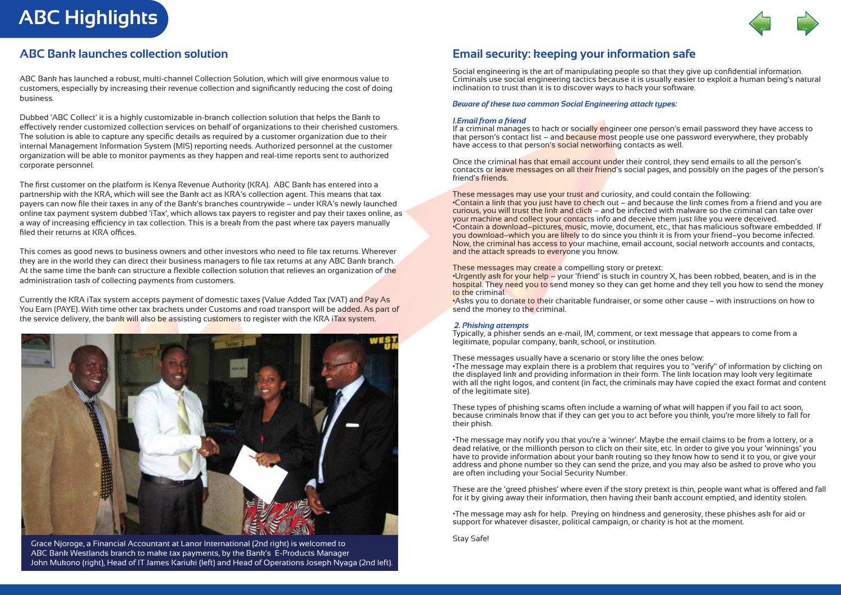**ABC Highlights**



#### **ABC Bank launches collection solution**

ABC Bank has launched a robust, multi-channel Collection Solution, which will give enormous value to customers, especially by increasing their revenue collection and significantly reducing the cost of doing business.

Dubbed 'ABC Collect' it is a highly customizable in-branch collection solution that helps the Bank to effectively render customized collection services on behalf of organizations to their cherished customers. The solution is able to capture any specific details as required by a customer organization due to their internal Management Information System (MIS) reporting needs. Authorized personnel at the customer organization will be able to monitor payments as they happen and real-time reports sent to authorized corporate personnel.

The first customer on the platform is Kenya Revenue Authority (KRA). ABC Bank has entered into a partnership with the KRA, which will see the Bank act as KRA's collection agent. This means that tax payers can now file their taxes in any of the Bank's branches countrywide – under KRA's newly launched online tax payment system dubbed 'iTax', which allows tax payers to register and pay their taxes online, as a way of increasing efficiency in tax collection. This is a break from the past where tax payers manually filed their returns at KRA offices.

This comes as good news to business owners and other investors who need to file tax returns. Wherever they are in the world they can direct their business managers to file tax returns at any ABC Bank branch. At the same time the bank can structure a flexible collection solution that relieves an organization of the administration task of collecting payments from customers.

Currently the KRA iTax system accepts payment of domestic taxes (Value Added Tax (VAT) and Pay As You Earn (PAYE). With time other tax brackets under Customs and road transport will be added. As part of the service delivery, the bank will also be assisting customers to register with the KRA iTax system.



Stay Safe! Grace Njoroge, a Financial Accountant at Lanor International (2nd right) is welcomed to ABC Bank Westlands branch to make tax payments, by the Bank's E-Products Manager John Mukono (right), Head of IT James Kariuki (left) and Head of Operations Joseph Nyaga (2nd left).

#### **Email security: keeping your information safe**

Social engineering is the art of manipulating people so that they give up confidential information. Criminals use social engineering tactics because it is usually easier to exploit a human being's natural inclination to trust than it is to discover ways to hack your software.

#### *Beware of these two common Social Engineering attack types:*

#### *1.Email from a friend*

If a criminal manages to hack or socially engineer one person's email password they have access to that person's contact list – and because most people use one password everywhere, they probably have access to that person's social networking contacts as well.

Once the criminal has that email account under their control, they send emails to all the person's contacts or leave messages on all their friend's social pages, and possibly on the pages of the person's friend's friends.

These messages may use your trust and curiosity, and could contain the following: •Contain a link that you just have to check out – and because the link comes from a friend and you are curious, you will trust the link and click – and be infected with malware so the criminal can take over your machine and collect your contacts info and deceive them just like you were deceived. •Contain a download–pictures, music, movie, document, etc., that has malicious software embedded. If you download–which you are likely to do since you think it is from your friend–you become infected. Now, the criminal has access to your machine, email account, social network accounts and contacts, and the attack spreads to everyone you know.

#### These messages may create a compelling story or pretext:

•Urgently ask for your help – your 'friend' is stuck in country X, has been robbed, beaten, and is in the hospital. They need you to send money so they can get home and they tell you how to send the money to the criminal.

•Asks you to donate to their charitable fundraiser, or some other cause – with instructions on how to send the money to the criminal.

#### *2. Phishing attempts*

Typically, a phisher sends an e-mail, IM, comment, or text message that appears to come from a legitimate, popular company, bank, school, or institution.

#### These messages usually have a scenario or story like the ones below:

•The message may explain there is a problem that requires you to "verify" of information by clicking on the displayed link and providing information in their form. The link location may look very legitimate with all the right logos, and content (in fact, the criminals may have copied the exact format and content of the legitimate site).

These types of phishing scams often include a warning of what will happen if you fail to act soon, because criminals know that if they can get you to act before you think, you're more likely to fall for their phish.

•The message may notify you that you're a 'winner'. Maybe the email claims to be from a lottery, or a dead relative, or the millionth person to click on their site, etc. In order to give you your 'winnings' you have to provide information about your bank routing so they know how to send it to you, or give your address and phone number so they can send the prize, and you may also be asked to prove who you are often including your Social Security Number.

These are the 'greed phishes' where even if the story pretext is thin, people want what is offered and fall for it by giving away their information, then having their bank account emptied, and identity stolen.

•The message may ask for help. Preying on kindness and generosity, these phishes ask for aid or support for whatever disaster, political campaign, or charity is hot at the moment.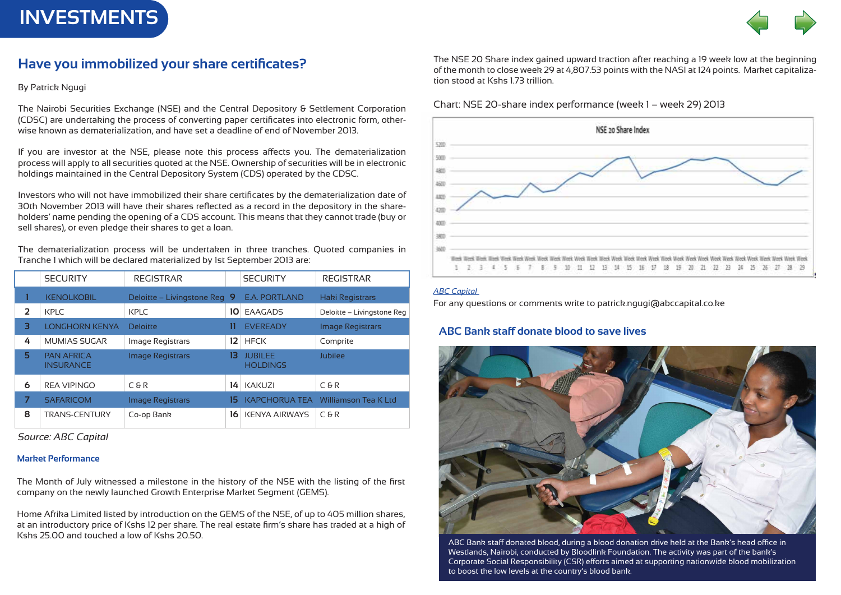**INVESTMENTS**



#### **Have you immobilized your share certificates?**

By Patrick Ngugi

The Nairobi Securities Exchange (NSE) and the Central Depository & Settlement Corporation (CDSC) are undertaking the process of converting paper certificates into electronic form, otherwise known as dematerialization, and have set a deadline of end of November 2013.

If you are investor at the NSE, please note this process affects you. The dematerialization process will apply to all securities quoted at the NSE. Ownership of securities will be in electronic holdings maintained in the Central Depository System (CDS) operated by the CDSC.

Investors who will not have immobilized their share certificates by the dematerialization date of 30th November 2013 will have their shares reflected as a record in the depository in the shareholders' name pending the opening of a CDS account. This means that they cannot trade (buy or sell shares), or even pledge their shares to get a loan.

The dematerialization process will be undertaken in three tranches. Quoted companies in Tranche 1 which will be declared materialized by 1st September 2013 are:

|                | <b>SECURITY</b>                       | <b>REGISTRAR</b>             |     | <b>SECURITY</b>                   | <b>REGISTRAR</b>           |
|----------------|---------------------------------------|------------------------------|-----|-----------------------------------|----------------------------|
|                | <b>KENOLKOBIL</b>                     | Deloitte – Livingstone Reg 9 |     | <b>E.A. PORTLAND</b>              | <b>Haki Registrars</b>     |
| $\overline{2}$ | KPLC                                  | KPLC                         | 10  | EAAGADS                           | Deloitte - Livingstone Reg |
| з              | <b>LONGHORN KENYA</b>                 | <b>Deloitte</b>              | 11  | <b>EVEREADY</b>                   | <b>Image Registrars</b>    |
| 4              | <b>MUMIAS SUGAR</b>                   | Image Registrars             | 12  | <b>HFCK</b>                       | Comprite                   |
| 5              | <b>PAN AFRICA</b><br><b>INSURANCE</b> | <b>Image Registrars</b>      | 13  | <b>JUBILEE</b><br><b>HOLDINGS</b> | Jubilee                    |
| 6              | <b>REA VIPINGO</b>                    | C & R                        | 14  | <b>KAKUZI</b>                     | C & R                      |
|                | <b>SAFARICOM</b>                      | <b>Image Registrars</b>      | 15. | <b>KAPCHORUA TEA</b>              | Williamson Tea K Ltd       |
| 8              | <b>TRANS-CENTURY</b>                  | Co-op Bank                   | 16  | <b>KENYA AIRWAYS</b>              | <b>C&amp;R</b>             |

*Source: ABC Capital* 

#### **Market Performance**

The Month of July witnessed a milestone in the history of the NSE with the listing of the first company on the newly launched Growth Enterprise Market Segment (GEMS).

Home Afrika Limited listed by introduction on the GEMS of the NSE, of up to 405 million shares, at an introductory price of Kshs 12 per share. The real estate firm's share has traded at a high of Kshs 25.00 and touched a low of Kshs 20.50.

The NSE 20 Share index gained upward traction after reaching a 19 week low at the beginning of the month to close week 29 at 4,807.53 points with the NASI at 124 points. Market capitalization stood at Kshs 1.73 trillion.

Chart: NSE 20-share index performance (week 1 – week 29) 2013



#### *ABC Capital*

For any questions or comments write to patrick.ngugi@abccapital.co.ke

#### **ABC Bank staff donate blood to save lives**



ABC Bank staff donated blood, during a blood donation drive held at the Bank's head office in Westlands, Nairobi, conducted by Bloodlink Foundation. The activity was part of the bank's Corporate Social Responsibility (CSR) efforts aimed at supporting nationwide blood mobilization to boost the low levels at the country's blood bank.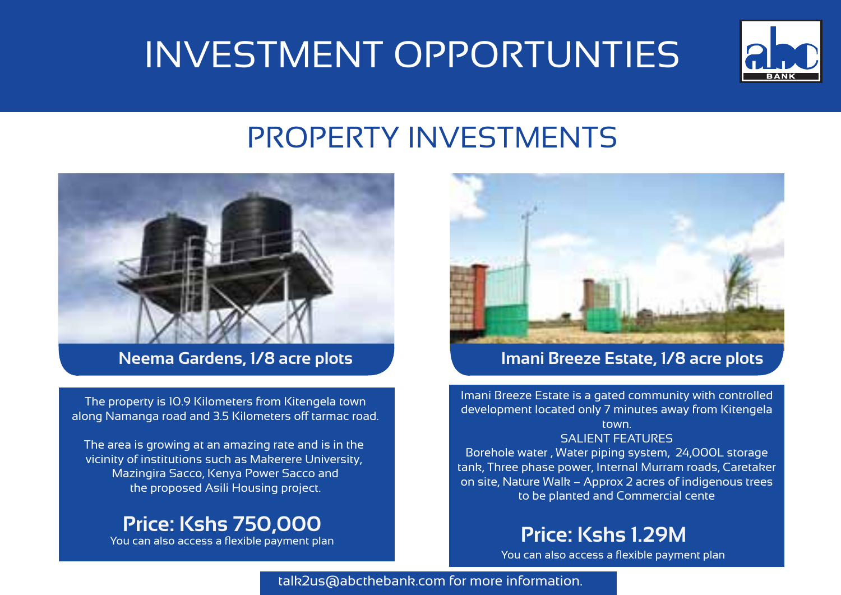## INVESTMENT OPPORTUNTIES



## PROPERTY INVESTMENTS



The property is 10.9 Kilometers from Kitengela town along Namanga road and 3.5 Kilometers off tarmac road.

The area is growing at an amazing rate and is in the vicinity of institutions such as Makerere University, Mazingira Sacco, Kenya Power Sacco and the proposed Asili Housing project.

## **Price: Kshs 750,000**



## **Neema Gardens, 1/8 acre plots Imani Breeze Estate, 1/8 acre plots**

Imani Breeze Estate is a gated community with controlled development located only 7 minutes away from Kitengela town.

#### SALIENT FEATURES

Borehole water , Water piping system, 24,000L storage tank, Three phase power, Internal Murram roads, Caretaker on site, Nature Walk – Approx 2 acres of indigenous trees to be planted and Commercial cente

## You can also access a flexible payment plan **Price: Kshs 1.29M**

You can also access a flexible payment plan

talk2us@abcthebank.com for more information.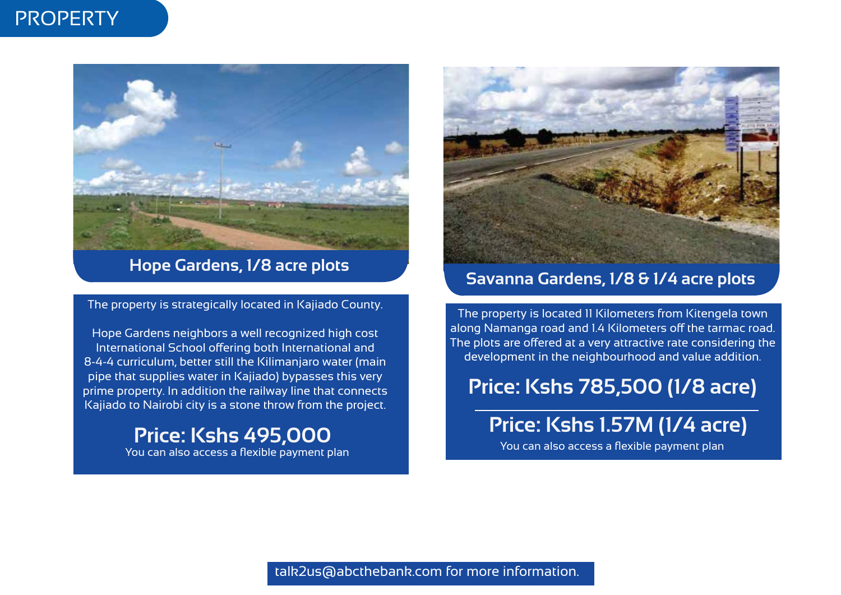## **PROPERTY**



**Hope Gardens, 1/8 acre plots**

The property is strategically located in Kajiado County.

Hope Gardens neighbors a well recognized high cost International School offering both International and 8-4-4 curriculum, better still the Kilimanjaro water (main pipe that supplies water in Kajiado) bypasses this very prime property. In addition the railway line that connects Kajiado to Nairobi city is a stone throw from the project.

> **Price: Kshs 495,000** You can also access a flexible payment plan



## **Savanna Gardens, 1/8 & 1/4 acre plots**

The property is located 11 Kilometers from Kitengela town along Namanga road and 1.4 Kilometers off the tarmac road. The plots are offered at a very attractive rate considering the development in the neighbourhood and value addition.

## **Price: Kshs 785,500 (1/8 acre)**

**Price: Kshs 1.57M (1/4 acre)**

You can also access a flexible payment plan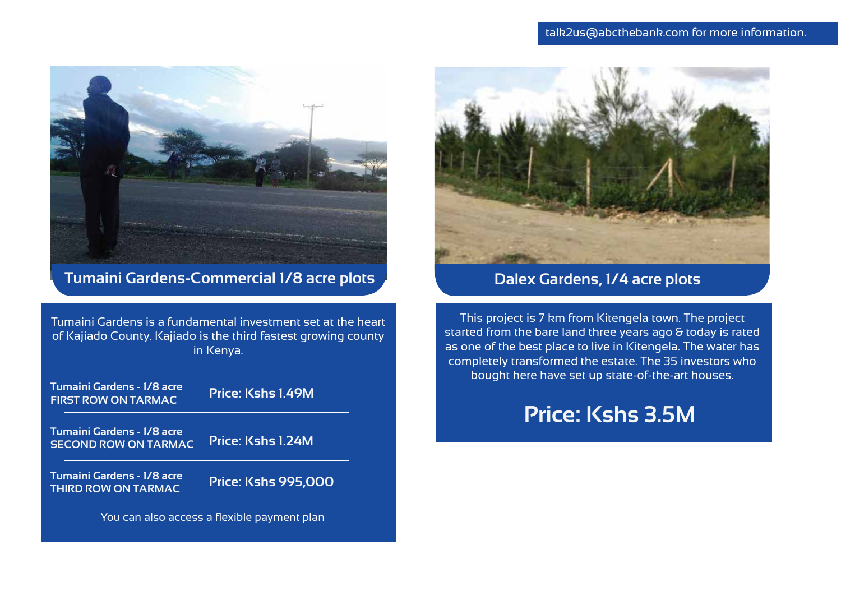

**Tumaini Gardens-Commercial 1/8 acre plots**

Tumaini Gardens is a fundamental investment set at the heart of Kajiado County. Kajiado is the third fastest growing county in Kenya.







## **Dalex Gardens, 1/4 acre plots**

This project is 7 km from Kitengela town. The project started from the bare land three years ago & today is rated as one of the best place to live in Kitengela. The water has completely transformed the estate. The 35 investors who bought here have set up state-of-the-art houses.

## **Price: Kshs 3.5M**